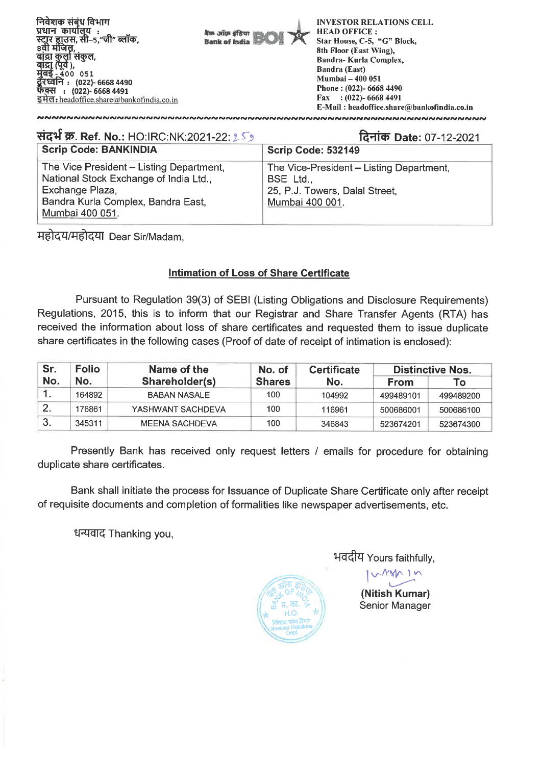निवेशक संबंध विभाग प्रधान कार्यालय : .<br>स्टॉर हाउस, सी-5, जी" ब्लॉक,<br>8वी मंजिल, **ाते),**<br>400 051 रध्वेनि : (022)- 6668 4490 (022)- 6668 4491 इमेल: headoffice.share  $\omega$ bankofindia.co. in

बैंक ऑफ़ इंडिया **Bank of India** 

INVESTOR RELATIONS CELL HEAD OFFICE : Star House, C-5, "G" Block, 8th Floor (East Wing), Bandra- Kurla Complex, Bandra (East) Mumbai — 400 051 Phone : (022)- 6668 4490 Fax : (022)- 6668 4491 E-Mail : headoffice.share@bankofindia.co.in

| संदर्भ क्र. Ref. No.: HO:IRC:NK:2021-22: ९ - ९                                                                                                                 | दिनांक Date: 07-12-2021                                                                                    |  |  |  |  |  |
|----------------------------------------------------------------------------------------------------------------------------------------------------------------|------------------------------------------------------------------------------------------------------------|--|--|--|--|--|
| <b>Scrip Code: BANKINDIA</b>                                                                                                                                   | Scrip Code: 532149                                                                                         |  |  |  |  |  |
| The Vice President - Listing Department,<br>National Stock Exchange of India Ltd.,<br>Exchange Plaza,<br>Bandra Kurla Complex, Bandra East,<br>Mumbai 400 051. | The Vice-President – Listing Department,<br>BSE Ltd.,<br>25, P.J. Towers, Dalal Street,<br>Mumbai 400 001. |  |  |  |  |  |

**Trelr&l:OTft7T** Dear Sir/Madam,

## **Intimation of Loss of Share Certificate**

Pursuant to Regulation 39(3) of SEBI (Listing Obligations and Disclosure Requirements) Regulations, 2015, this is to inform that our Registrar and Share Transfer Agents (RTA) has received the information about loss of share certificates and requested them to issue duplicate share certificates in the following cases (Proof of date of receipt of intimation is enclosed):

| Sr. | <b>Folio</b> | Name of the       | No. of        | <b>Certificate</b> | <b>Distinctive Nos.</b> |           |  |
|-----|--------------|-------------------|---------------|--------------------|-------------------------|-----------|--|
| No. | No.          | Shareholder(s)    | <b>Shares</b> | No.                | From                    | To l      |  |
|     | 164892       | BABAN NASALE      | 100           | 104992             | 499489101               | 499489200 |  |
|     | 176861       | YASHWANT SACHDEVA | 100           | 116961             | 500686001               | 500686100 |  |
| -3. | 345311       | MEENA SACHDEVA    | 100           | 346843             | 523674201               | 523674300 |  |

Presently Bank has received only request letters / emails for procedure for obtaining duplicate share certificates.

Bank shall initiate the process for Issuance of Duplicate Share Certificate only after receipt of requisite documents and completion of formalities like newspaper advertisements, etc.

धन्यवाद Thanking you,



भवदीय Yours faithfully,

**(Nitish Kumar)**  Senior Manager

 $\Lambda \cap \Lambda$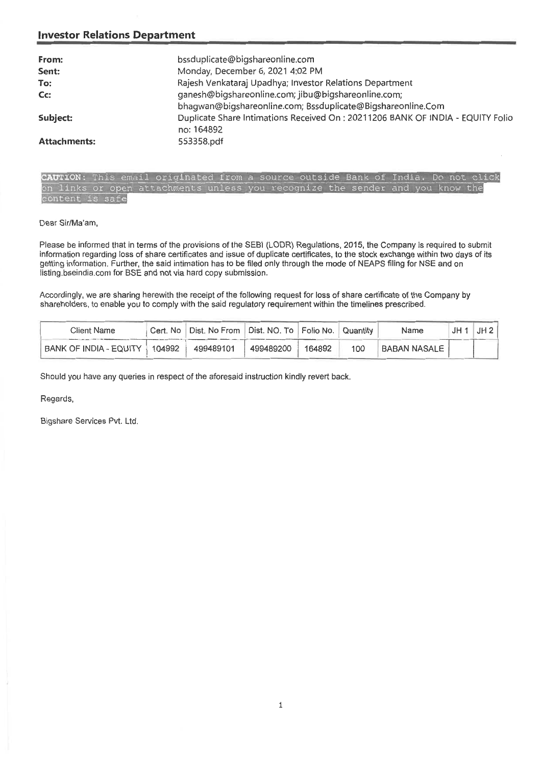# **investor Relations Department**

| From:<br>Sent:      | bssduplicate@bigshareonline.com<br>Monday, December 6, 2021 4:02 PM                                                |
|---------------------|--------------------------------------------------------------------------------------------------------------------|
|                     |                                                                                                                    |
| To:                 | Rajesh Venkataraj Upadhya; Investor Relations Department                                                           |
| Cc:                 | ganesh@bigshareonline.com; jibu@bigshareonline.com;<br>bhagwan@bigshareonline.com; Bssduplicate@Bigshareonline.Com |
| Subject:            | Duplicate Share Intimations Received On : 20211206 BANK OF INDIA - EQUITY Folio<br>no: 164892                      |
| <b>Attachments:</b> | 553358.pdf                                                                                                         |

| CAUTION: This email originated from a source outside Bank of India. Do not click |  |  |  |  |  |  |  |  |  |
|----------------------------------------------------------------------------------|--|--|--|--|--|--|--|--|--|
| on links or open attachments unless you recognize the sender and you know the    |  |  |  |  |  |  |  |  |  |
| content is safe                                                                  |  |  |  |  |  |  |  |  |  |

#### Dear Sir/Ma'am,

Please be informed that in terms of the provisions of the SEBI (LODR) Regulations, 2015, the Company is required to submit information regarding loss of share certificates and issue of duplicate certificates, to the stock exchange within two days of its getting information. Further, the said intimation has to be filed only through the mode of NEAPS filing for NSE and on listing.bseindia.com for BSE and not via hard copy submission.

Accordingly, we are sharing herewith the receipt of the following request for loss of share certificate of the Company by shareholders, to enable you to comply with the said regulatory requirement within the timelines prescribed.

| Client Name            | Cert. No | Dist. No From Dist. NO. To Folio No. 1 |           |        | Quantity | Name                | JH : | JH2 |
|------------------------|----------|----------------------------------------|-----------|--------|----------|---------------------|------|-----|
| BANK OF INDIA - EQUITY | 104992   | 499489101                              | 499489200 | 164892 | 100      | <b>BABAN NASALE</b> |      |     |

Should you have any queries in respect of the aforesaid instruction kindly revert back.

Regards,

Bigshare Services Pvt. Ltd.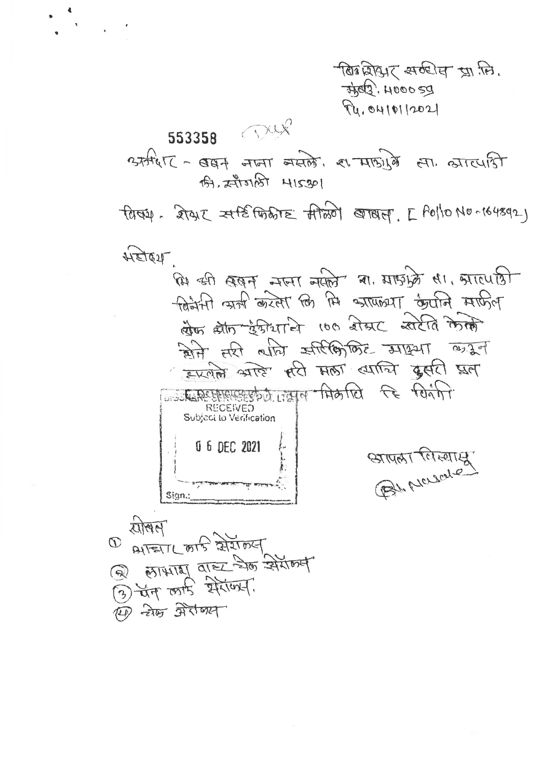पी पर सर्वश्रेष्ठ प्राप्ति होती. 3502.400059 94.0410112021

553358 Pux  $2779617 - 887$  THET THEN A THEN AT ALLEY की, सीजली 415301 tatiq. 2742 Atemente Ataon erray. [ Polio No-164892) महोहय कि की बबम नजा नकी या माइफ्रे सा मारपति खिजेंसी ऋत्री करेला कि मि श्रापान्था कैपनि माफिल खेफ स्रीत हैफीयानि 100 शेखट खरेति केली विले तरी लागि उसीरीक्षिकेट अधिया लग्नेन इरलेलें अस्टि सरी मला त्याचि दूसरी प्रल A PARTICULATION AND CE POART **RECEIVED** Subject to Verification 0 6 DEC 2021 BL MOLONE Sign.:  $21100$  $\varpi$ APENL on's RIITORY  $\begin{array}{c}\n\textcircled{1} \\
\textcircled{2} \\
\textcircled{3} \\
\textcircled{4} \\
\textcircled{7} \\
\textcircled{8} \\
\textcircled{9} \\
\textcircled{1} \\
\textcircled{1} \\
\textcircled{1} \\
\textcircled{1} \\
\textcircled{1} \\
\textcircled{1} \\
\textcircled{1} \\
\textcircled{1} \\
\textcircled{1} \\
\textcircled{1} \\
\textcircled{1} \\
\textcircled{1} \\
\textcircled{1} \\
\textcircled{1} \\
\textcircled{1} \\
\textcircled{1} \\
\textcircled{1} \\
\textcircled{1} \\
\textcircled{1} \\
\textcircled$ कि में अरेक्स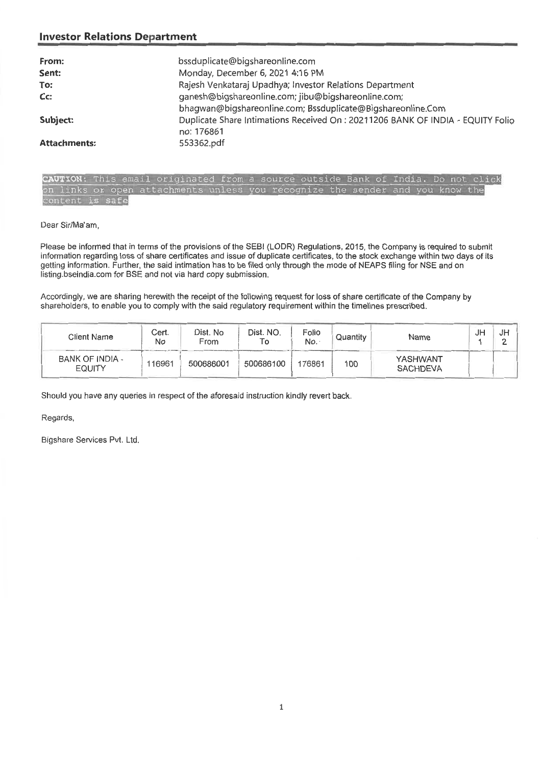## **Investor Relations Department**

| From:               | bssduplicate@bigshareonline.com                                                |
|---------------------|--------------------------------------------------------------------------------|
| Sent:               | Monday, December 6, 2021 4:16 PM                                               |
| To:                 | Rajesh Venkataraj Upadhya; Investor Relations Department                       |
| Cc:                 | ganesh@bigshareonline.com; jibu@bigshareonline.com;                            |
|                     | bhagwan@bigshareonline.com; Bssduplicate@Bigshareonline.Com                    |
| Subject:            | Duplicate Share Intimations Received On: 20211206 BANK OF INDIA - EQUITY Folio |
|                     | no: 176861                                                                     |
| <b>Attachments:</b> | 553362.pdf                                                                     |

|                 | CAUTION: This email originated from a source outside Bank of India. Do not click |  |  |  |  |  |
|-----------------|----------------------------------------------------------------------------------|--|--|--|--|--|
|                 | on links or open attachments unless you recognize the sender and you know the    |  |  |  |  |  |
| content is safe |                                                                                  |  |  |  |  |  |

Dear Sir/Ma'am,

Please be informed that in terms of the provisions of the SEBI (LODR) Regulations, 2015, the Company is required to submit information regarding loss of share certificates and issue of duplicate certificates, to the stock exchange within two days of its getting information. Further, the said intimation has to be filed only through the mode of NEAPS filing for NSE and on listing.bseindia.com for BSE and not via hard copy submission.

Accordingly, we are sharing herewith the receipt of the following request for loss of share certificate of the Company by shareholders, to enable you to comply with the said regulatory requirement within the timelines prescribed.

| Client Name                      | Cert.<br>No | Dist. No<br>From | Dist. NO. | Folio<br>No. | Quantity | Name                        | JH | JH |
|----------------------------------|-------------|------------------|-----------|--------------|----------|-----------------------------|----|----|
| BANK OF INDIA -<br><b>EQUITY</b> | 116961      | 500686001        | 500686100 | 176861       | 100      | YASHWANT<br><b>SACHDEVA</b> |    |    |

Should you have any queries in respect of the aforesaid instruction kindly revert back.

Regards,

Bigshare Services Pvt. Ltd.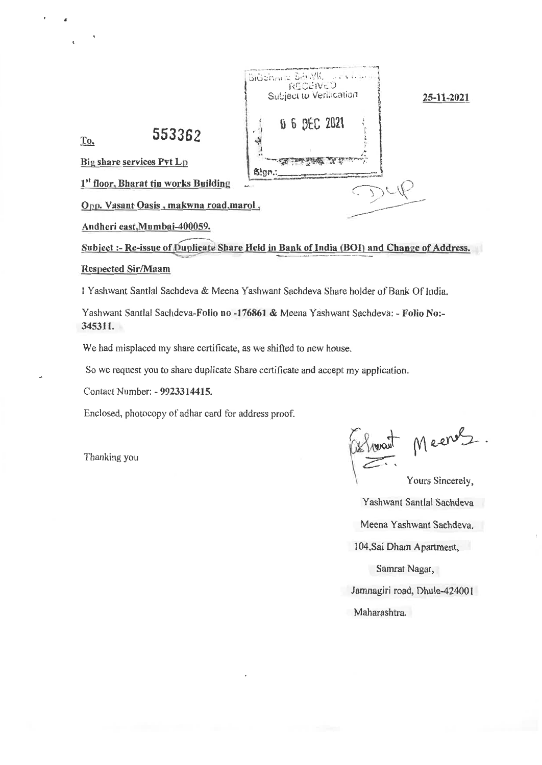

Andheri east,Mumbai-400059.

Subject :- Re-issue of Duplicate Share Held in Bank of India (BOI) and Change of Address.

#### Respected Sir/Maam

I Yashwant Santlal Sachdeva & Meena Yashwant Sachdeva Share holder of Bank Of India.

Yashwant Santlal Sachdeva-Folio no -176861 & Meena Yashwant Sachdeva: - Folio No:- 345311.

We had misplaced my share certificate, as we shifted to new house.

So we request you to share duplicate Share certificate and accept my application.

Contact Number: - 9923314415.

Enclosed, photocopy of adhar card for address proo

Thanking you

Meener

Yours Sincerely, Yashwant Santlal Sachdeva Meena Yashwant Sachdeva. 104,Sai Dham Apartment, Samrat Nagar,

Jamnagiri road, Dhule-424001

Maharashtra,